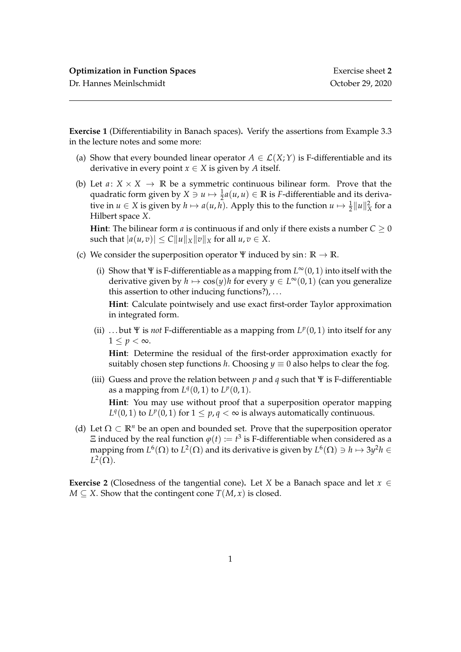Dr. Hannes Meinlschmidt October 29, 2020

**Exercise 1** (Differentiability in Banach spaces)**.** Verify the assertions from Example 3.3 in the lecture notes and some more:

- (a) Show that every bounded linear operator  $A \in \mathcal{L}(X;Y)$  is F-differentiable and its derivative in every point  $x \in X$  is given by *A* itself.
- (b) Let  $a: X \times X \rightarrow \mathbb{R}$  be a symmetric continuous bilinear form. Prove that the quadratic form given by  $X \ni u \mapsto \frac{1}{2}a(u, u) \in \mathbb{R}$  is *F*-differentiable and its derivative in  $u \in X$  is given by  $h \mapsto a(u, h)$ . Apply this to the function  $u \mapsto \frac{1}{2} ||u||_X^2$  for a Hilbert space *X*.

**Hint**: The bilinear form *a* is continuous if and only if there exists a number  $C \ge 0$ such that  $|a(u, v)| \leq C ||u||_X ||v||_X$  for all  $u, v \in X$ .

- (c) We consider the superposition operator  $\Psi$  induced by sin:  $\mathbb{R} \to \mathbb{R}$ .
	- (i) Show that Ψ is F-differentiable as a mapping from *L* <sup>∞</sup>(0, 1) into itself with the derivative given by  $h \mapsto \cos(y)h$  for every  $y \in L^{\infty}(0, 1)$  (can you generalize this assertion to other inducing functions?), . . .

**Hint**: Calculate pointwisely and use exact first-order Taylor approximation in integrated form.

(ii) ...but  $\Psi$  is *not* F-differentiable as a mapping from  $L^p(0,1)$  into itself for any  $1 \leq p < \infty$ .

**Hint**: Determine the residual of the first-order approximation exactly for suitably chosen step functions *h*. Choosing  $y \equiv 0$  also helps to clear the fog.

- (iii) Guess and prove the relation between *p* and *q* such that Ψ is F-differentiable as a mapping from  $L^q(0,1)$  to  $L^p(0,1)$ . **Hint**: You may use without proof that a superposition operator mapping *L*<sup> $q$ </sup>(0, 1) to *L*<sup> $p$ </sup>(0, 1) for  $1 \leq p$ ,  $q < \infty$  is always automatically continuous.
- (d) Let  $\Omega \subset \mathbb{R}^n$  be an open and bounded set. Prove that the superposition operator  $\Xi$  induced by the real function  $\varphi(t) \coloneqq t^3$  is F-differentiable when considered as a mapping from  $L^6(\Omega)$  to  $L^2(\Omega)$  and its derivative is given by  $L^6(\Omega) \ni h \mapsto 3y^2h \in$  $L^2(\Omega)$ .

**Exercise 2** (Closedness of the tangential cone). Let *X* be a Banach space and let  $x \in$ *M* ⊆ *X*. Show that the contingent cone *T*(*M*, *x*) is closed.